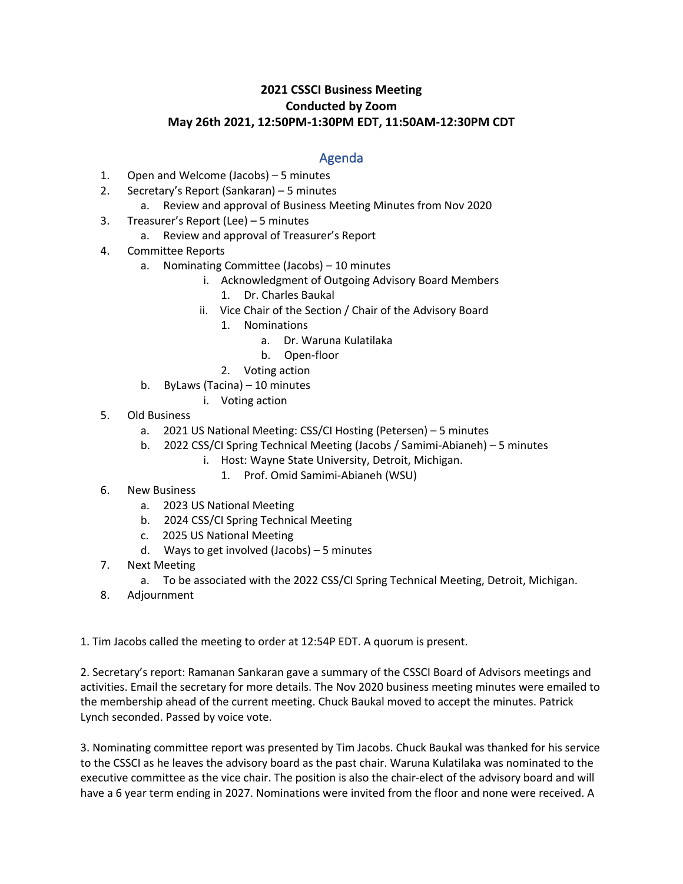## **2021 CSSCI Business Meeting Conducted by Zoom May 26th 2021, 12:50PM-1:30PM EDT, 11:50AM-12:30PM CDT**

## Agenda

- 1. Open and Welcome (Jacobs) 5 minutes
- 2. Secretary's Report (Sankaran) 5 minutes
	- a. Review and approval of Business Meeting Minutes from Nov 2020
- 3. Treasurer's Report (Lee) 5 minutes
	- a. Review and approval of Treasurer's Report
- 4. Committee Reports
	- a. Nominating Committee (Jacobs) 10 minutes
		- i. Acknowledgment of Outgoing Advisory Board Members
			- 1. Dr. Charles Baukal
		- ii. Vice Chair of the Section / Chair of the Advisory Board
			- 1. Nominations
				- a. Dr. Waruna Kulatilaka
				- b. Open-floor
			- 2. Voting action
	- b. ByLaws (Tacina) 10 minutes
		- i. Voting action
- 5. Old Business
	- a. 2021 US National Meeting: CSS/CI Hosting (Petersen) 5 minutes
	- b. 2022 CSS/CI Spring Technical Meeting (Jacobs / Samimi-Abianeh) 5 minutes
		- i. Host: Wayne State University, Detroit, Michigan.
			- 1. Prof. Omid Samimi-Abianeh (WSU)
- 6. New Business
	- a. 2023 US National Meeting
	- b. 2024 CSS/CI Spring Technical Meeting
	- c. 2025 US National Meeting
	- d. Ways to get involved (Jacobs) 5 minutes
- 7. Next Meeting
	- a. To be associated with the 2022 CSS/CI Spring Technical Meeting, Detroit, Michigan.
- 8. Adjournment

1. Tim Jacobs called the meeting to order at 12:54P EDT. A quorum is present.

2. Secretary's report: Ramanan Sankaran gave a summary of the CSSCI Board of Advisors meetings and activities. Email the secretary for more details. The Nov 2020 business meeting minutes were emailed to the membership ahead of the current meeting. Chuck Baukal moved to accept the minutes. Patrick Lynch seconded. Passed by voice vote.

3. Nominating committee report was presented by Tim Jacobs. Chuck Baukal was thanked for his service to the CSSCI as he leaves the advisory board as the past chair. Waruna Kulatilaka was nominated to the executive committee as the vice chair. The position is also the chair-elect of the advisory board and will have a 6 year term ending in 2027. Nominations were invited from the floor and none were received. A